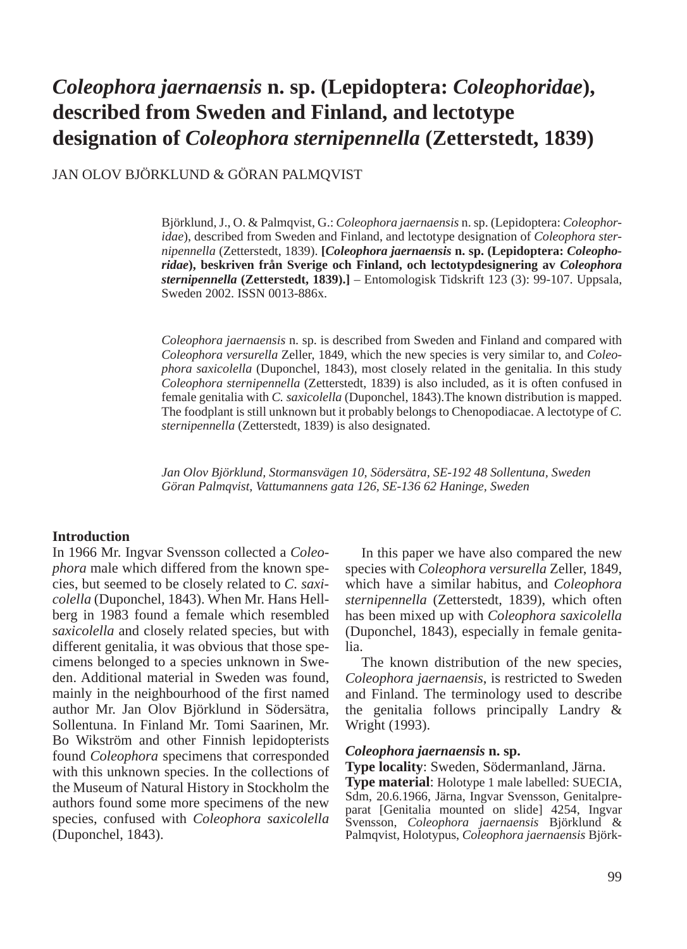# *Coleophora jaernaensis* **n. sp. (Lepidoptera:** *Coleophoridae***), described from Sweden and Finland, and lectotype designation of** *Coleophora sternipennella* **(Zetterstedt, 1839)**

JAN OLOV BJÖRKLUND & GÖRAN PALMQVIST

Björklund, J., O. & Palmqvist, G.: *Coleophora jaernaensis* n. sp. (Lepidoptera: *Coleophoridae*), described from Sweden and Finland, and lectotype designation of *Coleophora sternipennella* (Zetterstedt, 1839). **[***Coleophora jaernaensis* **n. sp. (Lepidoptera:** *Coleophoridae***), beskriven från Sverige och Finland, och lectotypdesignering av** *Coleophora sternipennella* **(Zetterstedt, 1839).]** – Entomologisk Tidskrift 123 (3): 99-107. Uppsala, Sweden 2002. ISSN 0013-886x.

*Coleophora jaernaensis* n. sp. is described from Sweden and Finland and compared with *Coleophora versurella* Zeller, 1849, which the new species is very similar to, and *Coleophora saxicolella* (Duponchel, 1843), most closely related in the genitalia. In this study *Coleophora sternipennella* (Zetterstedt, 1839) is also included, as it is often confused in female genitalia with *C. saxicolella* (Duponchel, 1843).The known distribution is mapped. The foodplant is still unknown but it probably belongs to Chenopodiacae. A lectotype of *C. sternipennella* (Zetterstedt, 1839) is also designated.

*Jan Olov Björklund, Stormansvägen 10, Södersätra, SE-192 48 Sollentuna, Sweden Göran Palmqvist, Vattumannens gata 126, SE-136 62 Haninge, Sweden*

#### **Introduction**

In 1966 Mr. Ingvar Svensson collected a *Coleophora* male which differed from the known species, but seemed to be closely related to *C. saxicolella* (Duponchel, 1843). When Mr. Hans Hellberg in 1983 found a female which resembled *saxicolella* and closely related species, but with different genitalia, it was obvious that those specimens belonged to a species unknown in Sweden. Additional material in Sweden was found, mainly in the neighbourhood of the first named author Mr. Jan Olov Björklund in Södersätra, Sollentuna. In Finland Mr. Tomi Saarinen, Mr. Bo Wikström and other Finnish lepidopterists found *Coleophora* specimens that corresponded with this unknown species. In the collections of the Museum of Natural History in Stockholm the authors found some more specimens of the new species, confused with *Coleophora saxicolella* (Duponchel, 1843).

In this paper we have also compared the new species with *Coleophora versurella* Zeller, 1849, which have a similar habitus, and *Coleophora sternipennella* (Zetterstedt, 1839), which often has been mixed up with *Coleophora saxicolella* (Duponchel, 1843), especially in female genitalia.

The known distribution of the new species, *Coleophora jaernaensis*, is restricted to Sweden and Finland. The terminology used to describe the genitalia follows principally Landry & Wright (1993).

## *Coleophora jaernaensis* **n. sp.**

**Type locality**: Sweden, Södermanland, Järna.

**Type material**: Holotype 1 male labelled: SUECIA, Sdm, 20.6.1966, Järna, Ingvar Svensson, Genitalpreparat [Genitalia mounted on slide] 4254, Ingvar Svensson, *Coleophora jaernaensis* Björklund & Palmqvist, Holotypus, *Coleophora jaernaensis* Björk-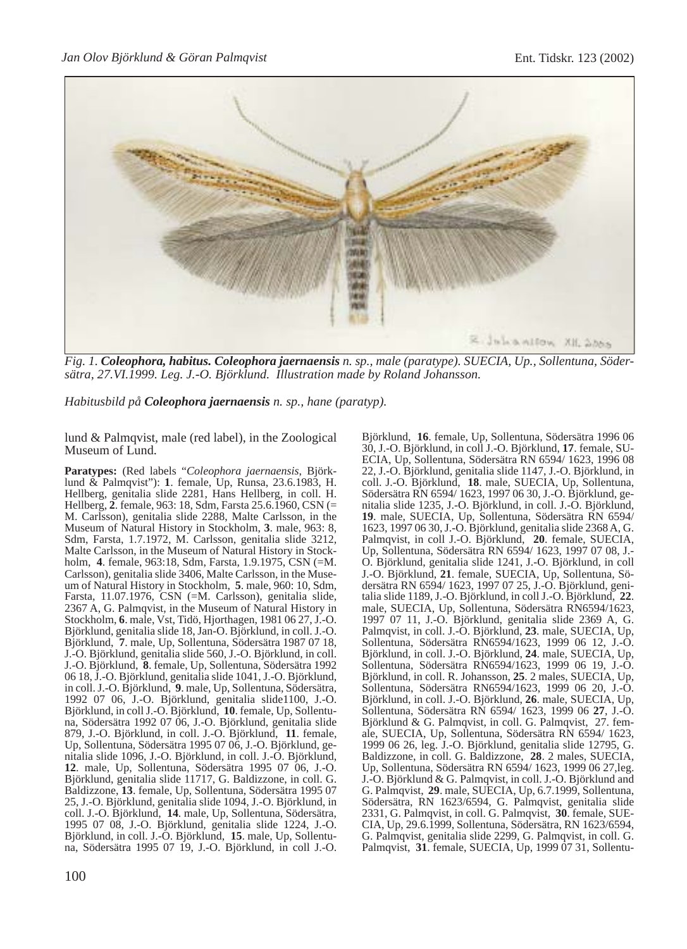

*Fig. 1. Coleophora, habitus. Coleophora jaernaensis n. sp., male (paratype). SUECIA, Up., Sollentuna, Södersätra, 27.VI.1999. Leg. J.-O. Björklund. Illustration made by Roland Johansson.*

*Habitusbild på Coleophora jaernaensis n. sp., hane (paratyp).*

lund & Palmqvist, male (red label), in the Zoological Museum of Lund.

**Paratypes:** (Red labels "*Coleophora jaernaensis*, Björklund & Palmqvist"): **1**. female, Up, Runsa, 23.6.1983, H. Hellberg, genitalia slide 2281, Hans Hellberg, in coll. H. Hellberg, **2**. female, 963: 18, Sdm, Farsta 25.6.1960, CSN (= M. Carlsson), genitalia slide 2288, Malte Carlsson, in the Museum of Natural History in Stockholm, **3**. male, 963: 8, Sdm, Farsta, 1.7.1972, M. Carlsson, genitalia slide 3212, Malte Carlsson, in the Museum of Natural History in Stockholm, **4**. female, 963:18, Sdm, Farsta, 1.9.1975, CSN (=M. Carlsson), genitalia slide 3406, Malte Carlsson, in the Museum of Natural History in Stockholm, **5**. male, 960: 10, Sdm, Farsta, 11.07.1976, CSN (=M. Carlsson), genitalia slide, 2367 A, G. Palmqvist, in the Museum of Natural History in Stockholm, **6**. male, Vst, Tidö, Hjorthagen, 1981 06 27, J.-O. Björklund, genitalia slide 18, Jan-O. Björklund, in coll. J.-O. Björklund, **7**. male, Up, Sollentuna, Södersätra 1987 07 18, J.-O. Björklund, genitalia slide 560, J.-O. Björklund, in coll. J.-O. Björklund, **8**. female, Up, Sollentuna, Södersätra 1992 06 18, J.-O. Björklund, genitalia slide 1041, J.-O. Björklund, in coll. J.-O. Björklund, **9**. male, Up, Sollentuna, Södersätra, 1992 07 06, J.-O. Björklund, genitalia slide1100, J.-O. Björklund, in coll J.-O. Björklund, **10**. female, Up, Sollentuna, Södersätra 1992 07 06, J.-O. Björklund, genitalia slide 879, J.-O. Björklund, in coll. J.-O. Björklund, **11**. female, Up, Sollentuna, Södersätra 1995 07 06, J.-O. Björklund, genitalia slide 1096, J.-O. Björklund, in coll. J.-O. Björklund, **12**. male, Up, Sollentuna, Södersätra 1995 07 06, J.-O. Björklund, genitalia slide 11717, G. Baldizzone, in coll. G. Baldizzone, **13**. female, Up, Sollentuna, Södersätra 1995 07 25, J.-O. Björklund, genitalia slide 1094, J.-O. Björklund, in coll. J.-O. Björklund, **14**. male, Up, Sollentuna, Södersätra, 1995 07 08, J.-O. Björklund, genitalia slide 1224, J.-O. Björklund, in coll. J.-O. Björklund, **15**. male, Up, Sollentuna, Södersätra 1995 07 19, J.-O. Björklund, in coll J.-O.

Björklund, **16**. female, Up, Sollentuna, Södersätra 1996 06 30, J.-O. Björklund, in coll J.-O. Björklund, **17**. female, SU-ECIA, Up, Sollentuna, Södersätra RN 6594/ 1623, 1996 08 22, J.-O. Björklund, genitalia slide 1147, J.-O. Björklund, in coll. J.-O. Björklund, **18**. male, SUECIA, Up, Sollentuna, Södersätra RN 6594/ 1623, 1997 06 30, J.-O. Björklund, genitalia slide 1235, J.-O. Björklund, in coll. J.-O. Björklund, **19**. male, SUECIA, Up, Sollentuna, Södersätra RN 6594/ 1623, 1997 06 30, J.-O. Björklund, genitalia slide 2368 A, G. Palmqvist, in coll J.-O. Björklund, **20**. female, SUECIA, Up, Sollentuna, Södersätra RN 6594/ 1623, 1997 07 08, J.- O. Björklund, genitalia slide 1241, J.-O. Björklund, in coll J.-O. Björklund, **21**. female, SUECIA, Up, Sollentuna, Södersätra RN 6594/ 1623, 1997 07 25, J.-O. Björklund, genitalia slide 1189, J.-O. Björklund, in coll J.-O. Björklund, **22**. male, SUECIA, Up, Sollentuna, Södersätra RN6594/1623, 1997 07 11, J.-O. Björklund, genitalia slide 2369 A, G. Palmqvist, in coll. J.-O. Björklund, **23**. male, SUECIA, Up, Sollentuna, Södersätra RN6594/1623, 1999 06 12, J.-O. Björklund, in coll. J.-O. Björklund, **24**. male, SUECIA, Up, Sollentuna, Södersätra RN6594/1623, 1999 06 19, J.-O. Björklund, in coll. R. Johansson, **25**. 2 males, SUECIA, Up, Sollentuna, Södersätra RN6594/1623, 1999 06 20, J.-O. Björklund, in coll. J.-O. Björklund, **26**. male, SUECIA, Up, Sollentuna, Södersätra RN 6594/ 1623, 1999 06 **27**, J.-O. Björklund & G. Palmqvist, in coll. G. Palmqvist, 27. female, SUECIA, Up, Sollentuna, Södersätra RN 6594/ 1623, 1999 06 26, leg. J.-O. Björklund, genitalia slide 12795, G. Baldizzone, in coll. G. Baldizzone, **28**. 2 males, SUECIA, Up, Sollentuna, Södersätra RN 6594/ 1623, 1999 06 27,leg. J.-O. Björklund & G. Palmqvist, in coll. J.-O. Björklund and G. Palmqvist, **29**. male, SUECIA, Up, 6.7.1999, Sollentuna, Södersätra, RN 1623/6594, G. Palmqvist, genitalia slide 2331, G. Palmqvist, in coll. G. Palmqvist, **30**. female, SUE-CIA, Up, 29.6.1999, Sollentuna, Södersätra, RN 1623/6594, G. Palmqvist, genitalia slide 2299, G. Palmqvist, in coll. G. Palmqvist, **31**. female, SUECIA, Up, 1999 07 31, Sollentu-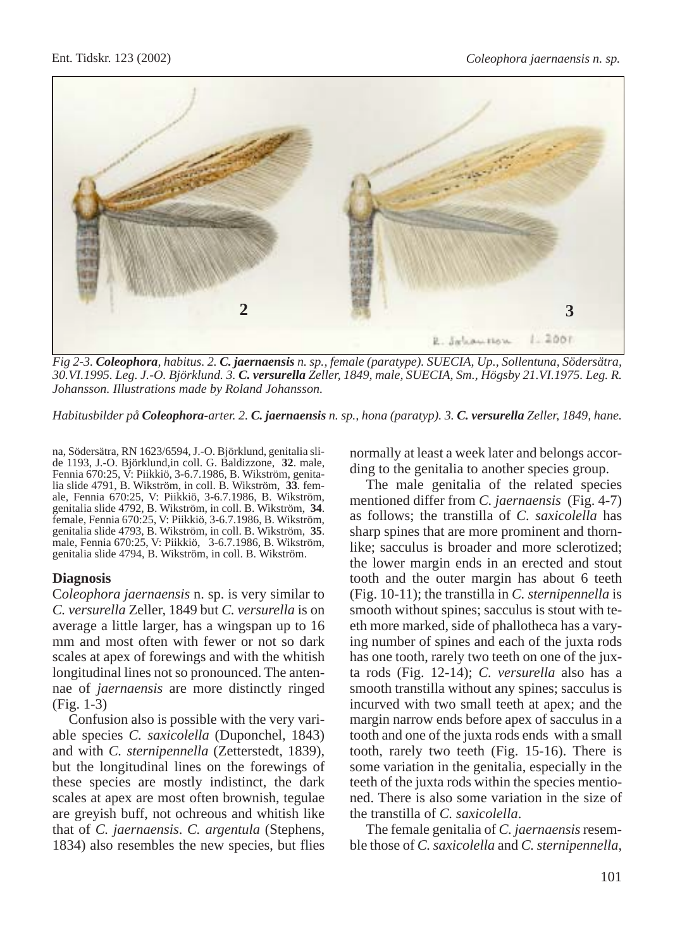

*Fig 2-3. Coleophora, habitus. 2. C. jaernaensis n. sp., female (paratype). SUECIA, Up., Sollentuna, Södersätra, 30.VI.1995. Leg. J.-O. Björklund. 3. C. versurella Zeller, 1849, male, SUECIA, Sm., Högsby 21.VI.1975. Leg. R. Johansson. Illustrations made by Roland Johansson.*

*Habitusbilder på Coleophora-arter. 2. C. jaernaensis n. sp., hona (paratyp). 3. C. versurella Zeller, 1849, hane.*

na, Södersätra, RN 1623/6594, J.-O. Björklund, genitalia slide 1193, J.-O. Björklund,in coll. G. Baldizzone, **32**. male, Fennia 670:25, V: Piikkiö, 3-6.7.1986, B. Wikström, genitalia slide 4791, B. Wikström, in coll. B. Wikström, **33**. female, Fennia 670:25, V: Piikkiö, 3-6.7.1986, B. Wikström, female, Fennia 670:25, V: Piikkiö, 3-6.7.1986, B. Wikström, genitalia slide 4793, B. Wikström, in coll. B. Wikström, 35. genitalia slide 4793, B. Wikström, in coll. B. Wikström, **35**. male, Fennia 670:25, V: Piikkiö, 3-6.7.1986, B. Wikström, genitalia slide 4794, B. Wikström, in coll. B. Wikström.

## **Diagnosis**

C*oleophora jaernaensis* n. sp. is very similar to *C. versurella* Zeller, 1849 but *C. versurella* is on average a little larger, has a wingspan up to 16 mm and most often with fewer or not so dark scales at apex of forewings and with the whitish longitudinal lines not so pronounced. The antennae of *jaernaensis* are more distinctly ringed (Fig. 1-3)

Confusion also is possible with the very variable species *C. saxicolella* (Duponchel, 1843) and with *C. sternipennella* (Zetterstedt, 1839), but the longitudinal lines on the forewings of these species are mostly indistinct, the dark scales at apex are most often brownish, tegulae are greyish buff, not ochreous and whitish like that of *C. jaernaensis*. *C. argentula* (Stephens, 1834) also resembles the new species, but flies normally at least a week later and belongs according to the genitalia to another species group.

The male genitalia of the related species mentioned differ from *C. jaernaensis* (Fig. 4-7) as follows; the transtilla of *C. saxicolella* has sharp spines that are more prominent and thornlike; sacculus is broader and more sclerotized; the lower margin ends in an erected and stout tooth and the outer margin has about 6 teeth (Fig. 10-11); the transtilla in *C. sternipennella* is smooth without spines; sacculus is stout with teeth more marked, side of phallotheca has a varying number of spines and each of the juxta rods has one tooth, rarely two teeth on one of the juxta rods (Fig. 12-14); *C. versurella* also has a smooth transtilla without any spines; sacculus is incurved with two small teeth at apex; and the margin narrow ends before apex of sacculus in a tooth and one of the juxta rods ends with a small tooth, rarely two teeth (Fig. 15-16). There is some variation in the genitalia, especially in the teeth of the juxta rods within the species mentioned. There is also some variation in the size of the transtilla of *C. saxicolella*.

The female genitalia of *C. jaernaensis* resemble those of *C. saxicolella* and *C. sternipennella*,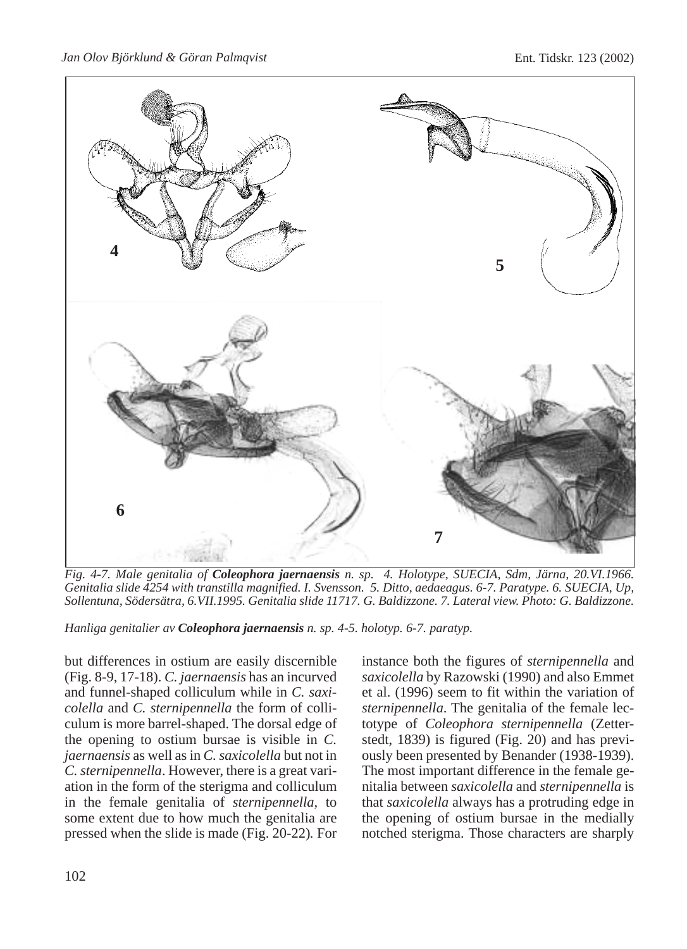*Jan Olov Björklund & Göran Palmqvist* Ent. Tidskr. 123 (2002)



*Fig. 4-7. Male genitalia of Coleophora jaernaensis n. sp. 4. Holotype, SUECIA, Sdm, Järna, 20.VI.1966. Genitalia slide 4254 with transtilla magnified. I. Svensson. 5. Ditto, aedaeagus. 6-7. Paratype. 6. SUECIA, Up, Sollentuna, Södersätra, 6.VII.1995. Genitalia slide 11717. G. Baldizzone. 7. Lateral view. Photo: G. Baldizzone.*

*Hanliga genitalier av Coleophora jaernaensis n. sp. 4-5. holotyp. 6-7. paratyp.*

but differences in ostium are easily discernible (Fig. 8-9, 17-18). *C. jaernaensis* has an incurved and funnel-shaped colliculum while in *C. saxicolella* and *C. sternipennella* the form of colliculum is more barrel-shaped. The dorsal edge of the opening to ostium bursae is visible in *C. jaernaensis* as well as in *C. saxicolella* but not in *C. sternipennella*. However, there is a great variation in the form of the sterigma and colliculum in the female genitalia of *sternipennella,* to some extent due to how much the genitalia are pressed when the slide is made (Fig. 20-22)*.* For instance both the figures of *sternipennella* and *saxicolella* by Razowski (1990) and also Emmet et al. (1996) seem to fit within the variation of *sternipennella*. The genitalia of the female lectotype of *Coleophora sternipennella* (Zetterstedt, 1839) is figured (Fig. 20) and has previously been presented by Benander (1938-1939). The most important difference in the female genitalia between *saxicolella* and *sternipennella* is that *saxicolella* always has a protruding edge in the opening of ostium bursae in the medially notched sterigma. Those characters are sharply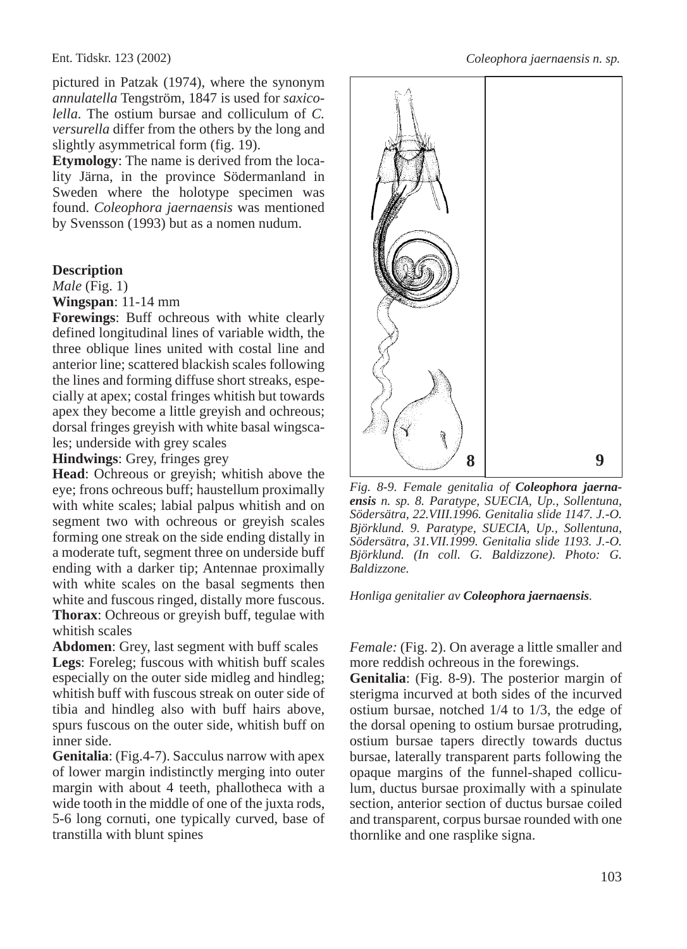pictured in Patzak (1974), where the synonym *annulatella* Tengström, 1847 is used for *saxicolella*. The ostium bursae and colliculum of *C. versurella* differ from the others by the long and slightly asymmetrical form (fig. 19).

**Etymology**: The name is derived from the locality Järna, in the province Södermanland in Sweden where the holotype specimen was found. *Coleophora jaernaensis* was mentioned by Svensson (1993) but as a nomen nudum.

## **Description**

*Male* (Fig. 1)

**Wingspan**: 11-14 mm

**Forewings**: Buff ochreous with white clearly defined longitudinal lines of variable width, the three oblique lines united with costal line and anterior line; scattered blackish scales following the lines and forming diffuse short streaks, especially at apex; costal fringes whitish but towards apex they become a little greyish and ochreous; dorsal fringes greyish with white basal wingscales; underside with grey scales

**Hindwings**: Grey, fringes grey

**Head**: Ochreous or greyish; whitish above the eye; frons ochreous buff; haustellum proximally with white scales; labial palpus whitish and on segment two with ochreous or greyish scales forming one streak on the side ending distally in a moderate tuft, segment three on underside buff ending with a darker tip; Antennae proximally with white scales on the basal segments then white and fuscous ringed, distally more fuscous. **Thorax**: Ochreous or greyish buff, tegulae with whitish scales

**Abdomen**: Grey, last segment with buff scales **Legs**: Foreleg; fuscous with whitish buff scales especially on the outer side midleg and hindleg; whitish buff with fuscous streak on outer side of tibia and hindleg also with buff hairs above, spurs fuscous on the outer side, whitish buff on inner side.

**Genitalia**: (Fig.4-7). Sacculus narrow with apex of lower margin indistinctly merging into outer margin with about 4 teeth, phallotheca with a wide tooth in the middle of one of the juxta rods, 5-6 long cornuti, one typically curved, base of transtilla with blunt spines



*Fig. 8-9. Female genitalia of Coleophora jaernaensis n. sp. 8. Paratype, SUECIA, Up., Sollentuna, Södersätra, 22.VIII.1996. Genitalia slide 1147. J.-O. Björklund. 9. Paratype, SUECIA, Up., Sollentuna, Södersätra, 31.VII.1999. Genitalia slide 1193. J.-O. Björklund. (In coll. G. Baldizzone). Photo: G. Baldizzone.*

*Honliga genitalier av Coleophora jaernaensis.*

*Female:* (Fig. 2). On average a little smaller and more reddish ochreous in the forewings.

**Genitalia**: (Fig. 8-9). The posterior margin of sterigma incurved at both sides of the incurved ostium bursae, notched 1/4 to 1/3, the edge of the dorsal opening to ostium bursae protruding, ostium bursae tapers directly towards ductus bursae, laterally transparent parts following the opaque margins of the funnel-shaped colliculum, ductus bursae proximally with a spinulate section, anterior section of ductus bursae coiled and transparent, corpus bursae rounded with one thornlike and one rasplike signa.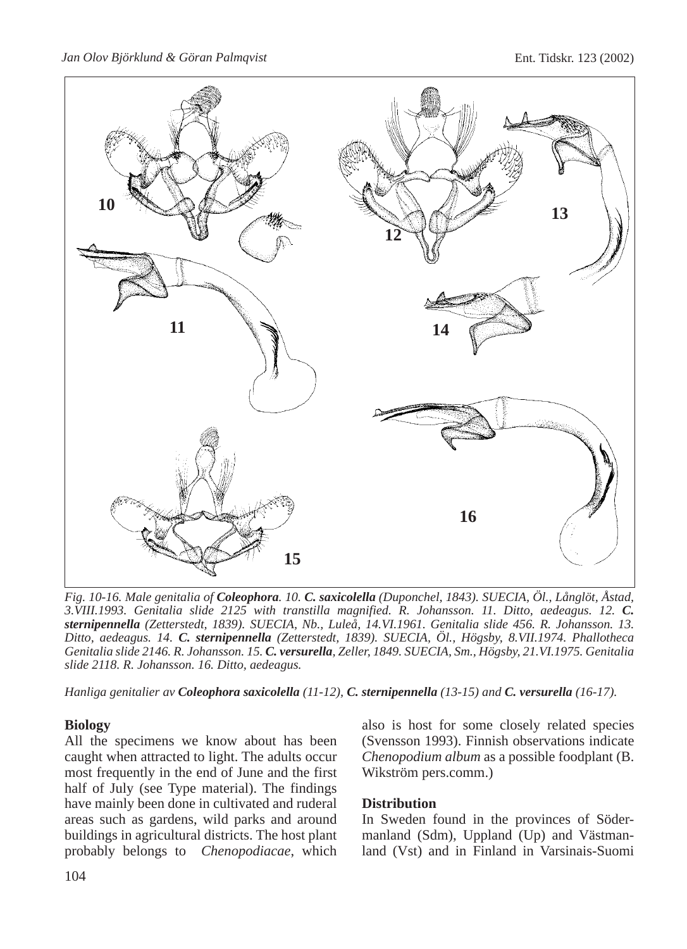

*Fig. 10-16. Male genitalia of Coleophora. 10. C. saxicolella (Duponchel, 1843). SUECIA, Öl., Långlöt, Åstad, 3.VIII.1993. Genitalia slide 2125 with transtilla magnified. R. Johansson. 11. Ditto, aedeagus. 12. C. sternipennella (Zetterstedt, 1839). SUECIA, Nb., Luleå, 14.VI.1961. Genitalia slide 456. R. Johansson. 13. Ditto, aedeagus. 14. C. sternipennella (Zetterstedt, 1839). SUECIA, Öl., Högsby, 8.VII.1974. Phallotheca Genitalia slide 2146. R. Johansson. 15. C. versurella, Zeller, 1849. SUECIA, Sm., Högsby, 21.VI.1975. Genitalia slide 2118. R. Johansson. 16. Ditto, aedeagus.*

*Hanliga genitalier av Coleophora saxicolella (11-12), C. sternipennella (13-15) and C. versurella (16-17).*

## **Biology**

All the specimens we know about has been caught when attracted to light. The adults occur most frequently in the end of June and the first half of July (see Type material). The findings have mainly been done in cultivated and ruderal areas such as gardens, wild parks and around buildings in agricultural districts. The host plant probably belongs to *Chenopodiacae*, which also is host for some closely related species (Svensson 1993). Finnish observations indicate *Chenopodium album* as a possible foodplant (B. Wikström pers.comm.)

## **Distribution**

In Sweden found in the provinces of Södermanland (Sdm), Uppland (Up) and Västmanland (Vst) and in Finland in Varsinais-Suomi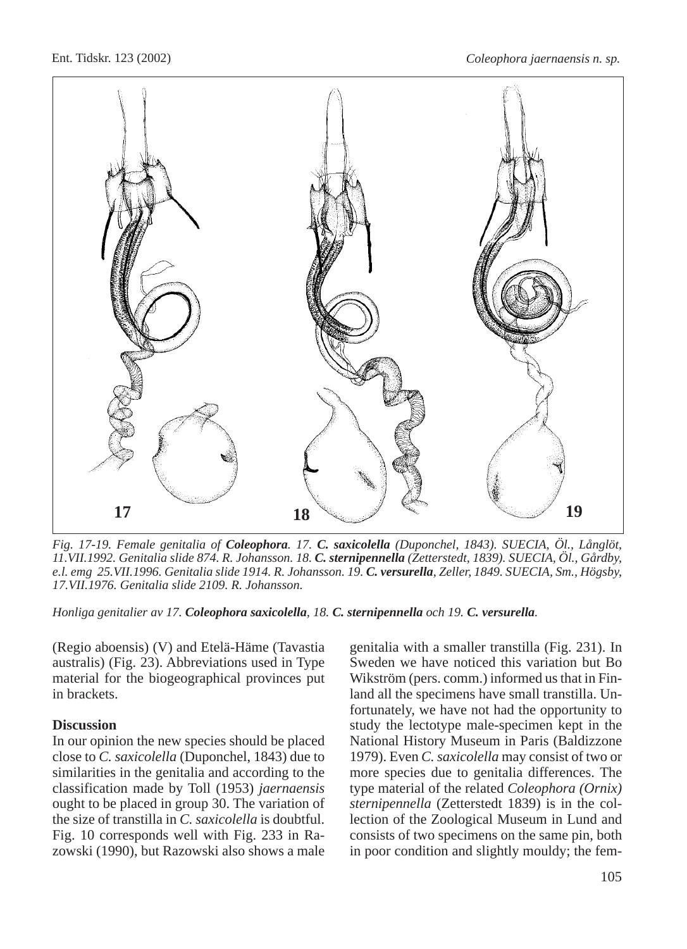

*Fig. 17-19. Female genitalia of Coleophora. 17. C. saxicolella (Duponchel, 1843). SUECIA, Öl., Långlöt, 11.VII.1992. Genitalia slide 874. R. Johansson. 18. C. sternipennella (Zetterstedt, 1839). SUECIA, Öl., Gårdby, e.l. emg 25.VII.1996. Genitalia slide 1914. R. Johansson. 19. C. versurella, Zeller, 1849. SUECIA, Sm., Högsby, 17.VII.1976. Genitalia slide 2109. R. Johansson.*

*Honliga genitalier av 17. Coleophora saxicolella, 18. C. sternipennella och 19. C. versurella.*

(Regio aboensis) (V) and Etelä-Häme (Tavastia australis) (Fig. 23). Abbreviations used in Type material for the biogeographical provinces put in brackets.

## **Discussion**

In our opinion the new species should be placed close to *C. saxicolella* (Duponchel, 1843) due to similarities in the genitalia and according to the classification made by Toll (1953) *jaernaensis* ought to be placed in group 30. The variation of the size of transtilla in *C. saxicolella* is doubtful. Fig. 10 corresponds well with Fig. 233 in Razowski (1990), but Razowski also shows a male

genitalia with a smaller transtilla (Fig. 231). In Sweden we have noticed this variation but Bo Wikström (pers. comm.) informed us that in Finland all the specimens have small transtilla. Unfortunately, we have not had the opportunity to study the lectotype male-specimen kept in the National History Museum in Paris (Baldizzone 1979). Even *C. saxicolella* may consist of two or more species due to genitalia differences. The type material of the related *Coleophora (Ornix) sternipennella* (Zetterstedt 1839) is in the collection of the Zoological Museum in Lund and consists of two specimens on the same pin, both in poor condition and slightly mouldy; the fem-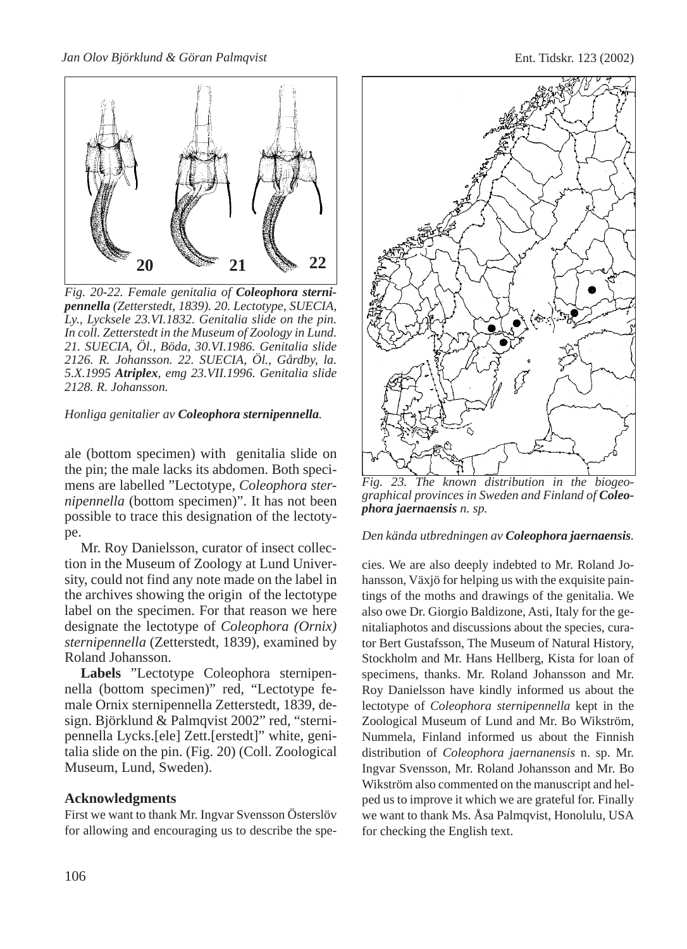

*Fig. 20-22. Female genitalia of Coleophora sternipennella (Zetterstedt, 1839). 20. Lectotype, SUECIA, Ly., Lycksele 23.VI.1832. Genitalia slide on the pin. In coll. Zetterstedt in the Museum of Zoology in Lund. 21. SUECIA, Öl., Böda, 30.VI.1986. Genitalia slide 2126. R. Johansson. 22. SUECIA, Öl., Gårdby, la. 5.X.1995 Atriplex, emg 23.VII.1996. Genitalia slide 2128. R. Johansson.*

#### *Honliga genitalier av Coleophora sternipennella.*

ale (bottom specimen) with genitalia slide on the pin; the male lacks its abdomen. Both specimens are labelled "Lectotype, *Coleophora sternipennella* (bottom specimen)". It has not been possible to trace this designation of the lectotype.

Mr. Roy Danielsson, curator of insect collection in the Museum of Zoology at Lund University, could not find any note made on the label in the archives showing the origin of the lectotype label on the specimen. For that reason we here designate the lectotype of *Coleophora (Ornix) sternipennella* (Zetterstedt, 1839), examined by Roland Johansson.

**Labels** "Lectotype Coleophora sternipennella (bottom specimen)" red, "Lectotype female Ornix sternipennella Zetterstedt, 1839, design. Björklund & Palmqvist 2002" red, "sternipennella Lycks.[ele] Zett.[erstedt]" white, genitalia slide on the pin. (Fig. 20) (Coll. Zoological Museum, Lund, Sweden).

#### **Acknowledgments**

First we want to thank Mr. Ingvar Svensson Österslöv for allowing and encouraging us to describe the spe-



*Fig. 23. The known distribution in the biogeographical provinces in Sweden and Finland of Coleophora jaernaensis n. sp.*

#### *Den kända utbredningen av Coleophora jaernaensis.*

cies. We are also deeply indebted to Mr. Roland Johansson, Växjö for helping us with the exquisite paintings of the moths and drawings of the genitalia. We also owe Dr. Giorgio Baldizone, Asti, Italy for the genitaliaphotos and discussions about the species, curator Bert Gustafsson, The Museum of Natural History, Stockholm and Mr. Hans Hellberg, Kista for loan of specimens, thanks. Mr. Roland Johansson and Mr. Roy Danielsson have kindly informed us about the lectotype of *Coleophora sternipennella* kept in the Zoological Museum of Lund and Mr. Bo Wikström, Nummela, Finland informed us about the Finnish distribution of *Coleophora jaernanensis* n. sp. Mr. Ingvar Svensson, Mr. Roland Johansson and Mr. Bo Wikström also commented on the manuscript and helped us to improve it which we are grateful for. Finally we want to thank Ms. Åsa Palmqvist, Honolulu, USA for checking the English text.